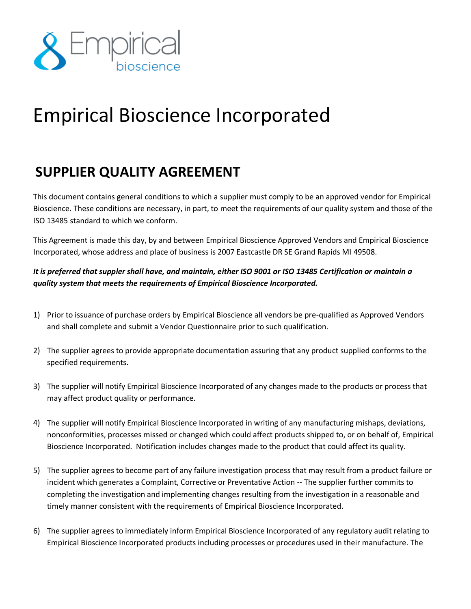

## Empirical Bioscience Incorporated

## **SUPPLIER QUALITY AGREEMENT**

This document contains general conditions to which a supplier must comply to be an approved vendor for Empirical Bioscience. These conditions are necessary, in part, to meet the requirements of our quality system and those of the ISO 13485 standard to which we conform.

This Agreement is made this day, by and between Empirical Bioscience Approved Vendors and Empirical Bioscience Incorporated, whose address and place of business is 2007 Eastcastle DR SE Grand Rapids MI 49508.

*It is preferred that suppler shall have, and maintain, either ISO 9001 or ISO 13485 Certification or maintain a quality system that meets the requirements of Empirical Bioscience Incorporated.*

- 1) Prior to issuance of purchase orders by Empirical Bioscience all vendors be pre-qualified as Approved Vendors and shall complete and submit a Vendor Questionnaire prior to such qualification.
- 2) The supplier agrees to provide appropriate documentation assuring that any product supplied conforms to the specified requirements.
- 3) The supplier will notify Empirical Bioscience Incorporated of any changes made to the products or process that may affect product quality or performance.
- 4) The supplier will notify Empirical Bioscience Incorporated in writing of any manufacturing mishaps, deviations, nonconformities, processes missed or changed which could affect products shipped to, or on behalf of, Empirical Bioscience Incorporated. Notification includes changes made to the product that could affect its quality.
- 5) The supplier agrees to become part of any failure investigation process that may result from a product failure or incident which generates a Complaint, Corrective or Preventative Action -- The supplier further commits to completing the investigation and implementing changes resulting from the investigation in a reasonable and timely manner consistent with the requirements of Empirical Bioscience Incorporated.
- 6) The supplier agrees to immediately inform Empirical Bioscience Incorporated of any regulatory audit relating to Empirical Bioscience Incorporated products including processes or procedures used in their manufacture. The